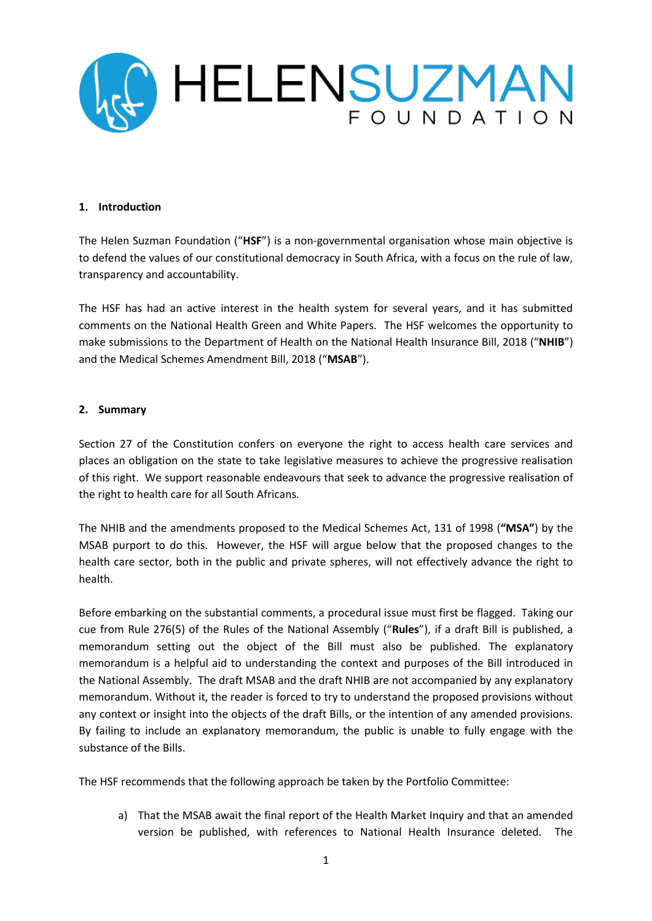

#### **1. Introduction**

The Helen Suzman Foundation ("**HSF**") is a non-governmental organisation whose main objective is to defend the values of our constitutional democracy in South Africa, with a focus on the rule of law, transparency and accountability.

The HSF has had an active interest in the health system for several years, and it has submitted comments on the National Health Green and White Papers. The HSF welcomes the opportunity to make submissions to the Department of Health on the National Health Insurance Bill, 2018 ("**NHIB**") and the Medical Schemes Amendment Bill, 2018 ("**MSAB**").

### **2. Summary**

Section 27 of the Constitution confers on everyone the right to access health care services and places an obligation on the state to take legislative measures to achieve the progressive realisation of this right. We support reasonable endeavours that seek to advance the progressive realisation of the right to health care for all South Africans.

The NHIB and the amendments proposed to the Medical Schemes Act, 131 of 1998 (**"MSA"**) by the MSAB purport to do this. However, the HSF will argue below that the proposed changes to the health care sector, both in the public and private spheres, will not effectively advance the right to health.

Before embarking on the substantial comments, a procedural issue must first be flagged. Taking our cue from Rule 276(5) of the Rules of the National Assembly ("**Rules**"), if a draft Bill is published, a memorandum setting out the object of the Bill must also be published. The explanatory memorandum is a helpful aid to understanding the context and purposes of the Bill introduced in the National Assembly. The draft MSAB and the draft NHIB are not accompanied by any explanatory memorandum. Without it, the reader is forced to try to understand the proposed provisions without any context or insight into the objects of the draft Bills, or the intention of any amended provisions. By failing to include an explanatory memorandum, the public is unable to fully engage with the substance of the Bills.

The HSF recommends that the following approach be taken by the Portfolio Committee:

a) That the MSAB await the final report of the Health Market Inquiry and that an amended version be published, with references to National Health Insurance deleted. The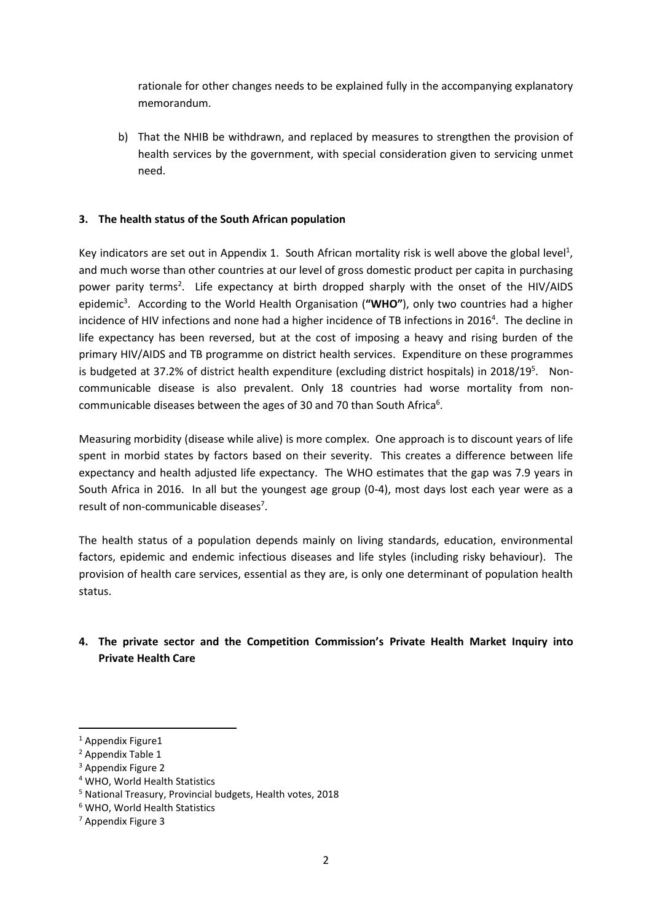rationale for other changes needs to be explained fully in the accompanying explanatory memorandum.

b) That the NHIB be withdrawn, and replaced by measures to strengthen the provision of health services by the government, with special consideration given to servicing unmet need.

# **3. The health status of the South African population**

Key indicators are set out in Appendix 1. South African mortality risk is well above the global level<sup>1</sup>, and much worse than other countries at our level of gross domestic product per capita in purchasing power parity terms<sup>2</sup>. Life expectancy at birth dropped sharply with the onset of the HIV/AIDS epidemic<sup>3</sup>. According to the World Health Organisation ("WHO"), only two countries had a higher incidence of HIV infections and none had a higher incidence of TB infections in 2016<sup>4</sup>. The decline in life expectancy has been reversed, but at the cost of imposing a heavy and rising burden of the primary HIV/AIDS and TB programme on district health services. Expenditure on these programmes is budgeted at 37.2% of district health expenditure (excluding district hospitals) in 2018/19<sup>5</sup>. Noncommunicable disease is also prevalent. Only 18 countries had worse mortality from noncommunicable diseases between the ages of 30 and 70 than South Africa $6$ .

Measuring morbidity (disease while alive) is more complex. One approach is to discount years of life spent in morbid states by factors based on their severity. This creates a difference between life expectancy and health adjusted life expectancy. The WHO estimates that the gap was 7.9 years in South Africa in 2016. In all but the youngest age group (0-4), most days lost each year were as a result of non-communicable diseases<sup>7</sup>.

The health status of a population depends mainly on living standards, education, environmental factors, epidemic and endemic infectious diseases and life styles (including risky behaviour). The provision of health care services, essential as they are, is only one determinant of population health status.

# **4. The private sector and the Competition Commission's Private Health Market Inquiry into Private Health Care**

**.** 

<sup>&</sup>lt;sup>1</sup> Appendix Figure1

<sup>2</sup> Appendix Table 1

<sup>3</sup> Appendix Figure 2

<sup>4</sup> WHO, World Health Statistics

<sup>5</sup> National Treasury, Provincial budgets, Health votes, 2018

<sup>6</sup> WHO, World Health Statistics

<sup>7</sup> Appendix Figure 3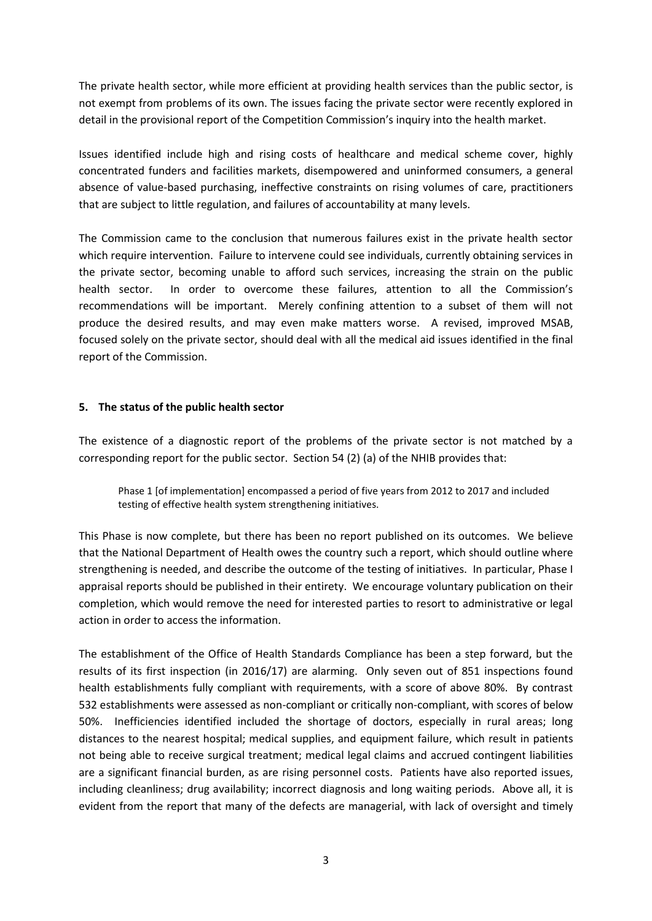The private health sector, while more efficient at providing health services than the public sector, is not exempt from problems of its own. The issues facing the private sector were recently explored in detail in the provisional report of the Competition Commission's inquiry into the health market.

Issues identified include high and rising costs of healthcare and medical scheme cover, highly concentrated funders and facilities markets, disempowered and uninformed consumers, a general absence of value-based purchasing, ineffective constraints on rising volumes of care, practitioners that are subject to little regulation, and failures of accountability at many levels.

The Commission came to the conclusion that numerous failures exist in the private health sector which require intervention. Failure to intervene could see individuals, currently obtaining services in the private sector, becoming unable to afford such services, increasing the strain on the public health sector. In order to overcome these failures, attention to all the Commission's recommendations will be important. Merely confining attention to a subset of them will not produce the desired results, and may even make matters worse. A revised, improved MSAB, focused solely on the private sector, should deal with all the medical aid issues identified in the final report of the Commission.

### **5. The status of the public health sector**

The existence of a diagnostic report of the problems of the private sector is not matched by a corresponding report for the public sector. Section 54 (2) (a) of the NHIB provides that:

Phase 1 [of implementation] encompassed a period of five years from 2012 to 2017 and included testing of effective health system strengthening initiatives.

This Phase is now complete, but there has been no report published on its outcomes. We believe that the National Department of Health owes the country such a report, which should outline where strengthening is needed, and describe the outcome of the testing of initiatives. In particular, Phase I appraisal reports should be published in their entirety. We encourage voluntary publication on their completion, which would remove the need for interested parties to resort to administrative or legal action in order to access the information.

The establishment of the Office of Health Standards Compliance has been a step forward, but the results of its first inspection (in 2016/17) are alarming. Only seven out of 851 inspections found health establishments fully compliant with requirements, with a score of above 80%. By contrast 532 establishments were assessed as non-compliant or critically non-compliant, with scores of below 50%. Inefficiencies identified included the shortage of doctors, especially in rural areas; long distances to the nearest hospital; medical supplies, and equipment failure, which result in patients not being able to receive surgical treatment; medical legal claims and accrued contingent liabilities are a significant financial burden, as are rising personnel costs. Patients have also reported issues, including cleanliness; drug availability; incorrect diagnosis and long waiting periods. Above all, it is evident from the report that many of the defects are managerial, with lack of oversight and timely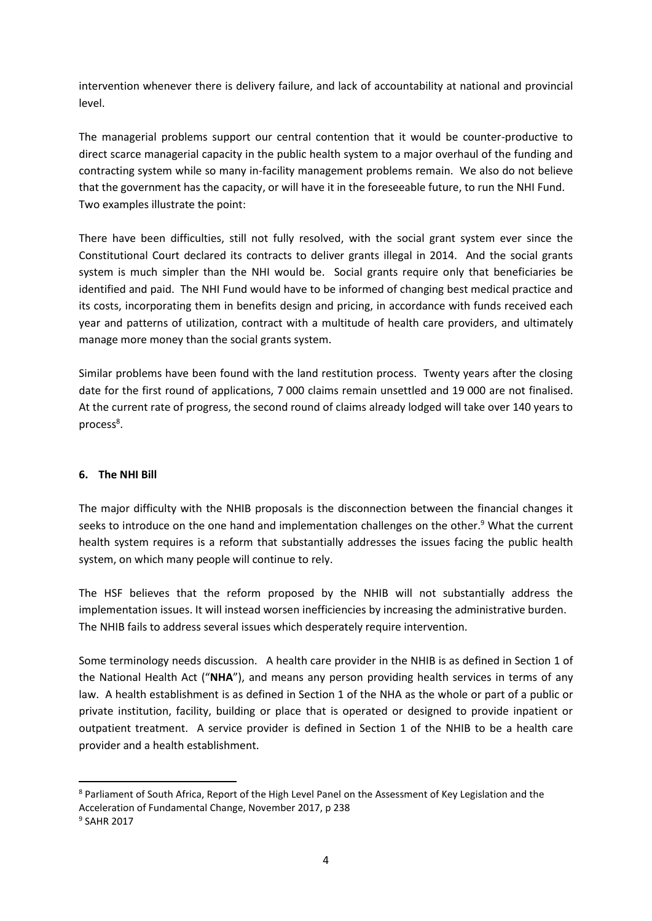intervention whenever there is delivery failure, and lack of accountability at national and provincial level.

The managerial problems support our central contention that it would be counter-productive to direct scarce managerial capacity in the public health system to a major overhaul of the funding and contracting system while so many in-facility management problems remain. We also do not believe that the government has the capacity, or will have it in the foreseeable future, to run the NHI Fund. Two examples illustrate the point:

There have been difficulties, still not fully resolved, with the social grant system ever since the Constitutional Court declared its contracts to deliver grants illegal in 2014. And the social grants system is much simpler than the NHI would be. Social grants require only that beneficiaries be identified and paid. The NHI Fund would have to be informed of changing best medical practice and its costs, incorporating them in benefits design and pricing, in accordance with funds received each year and patterns of utilization, contract with a multitude of health care providers, and ultimately manage more money than the social grants system.

Similar problems have been found with the land restitution process. Twenty years after the closing date for the first round of applications, 7 000 claims remain unsettled and 19 000 are not finalised. At the current rate of progress, the second round of claims already lodged will take over 140 years to process<sup>8</sup>.

# **6. The NHI Bill**

The major difficulty with the NHIB proposals is the disconnection between the financial changes it seeks to introduce on the one hand and implementation challenges on the other.<sup>9</sup> What the current health system requires is a reform that substantially addresses the issues facing the public health system, on which many people will continue to rely.

The HSF believes that the reform proposed by the NHIB will not substantially address the implementation issues. It will instead worsen inefficiencies by increasing the administrative burden. The NHIB fails to address several issues which desperately require intervention.

Some terminology needs discussion. A health care provider in the NHIB is as defined in Section 1 of the National Health Act ("**NHA**"), and means any person providing health services in terms of any law. A health establishment is as defined in Section 1 of the NHA as the whole or part of a public or private institution, facility, building or place that is operated or designed to provide inpatient or outpatient treatment. A service provider is defined in Section 1 of the NHIB to be a health care provider and a health establishment.

1

<sup>8</sup> Parliament of South Africa, Report of the High Level Panel on the Assessment of Key Legislation and the Acceleration of Fundamental Change, November 2017, p 238

<sup>9</sup> SAHR 2017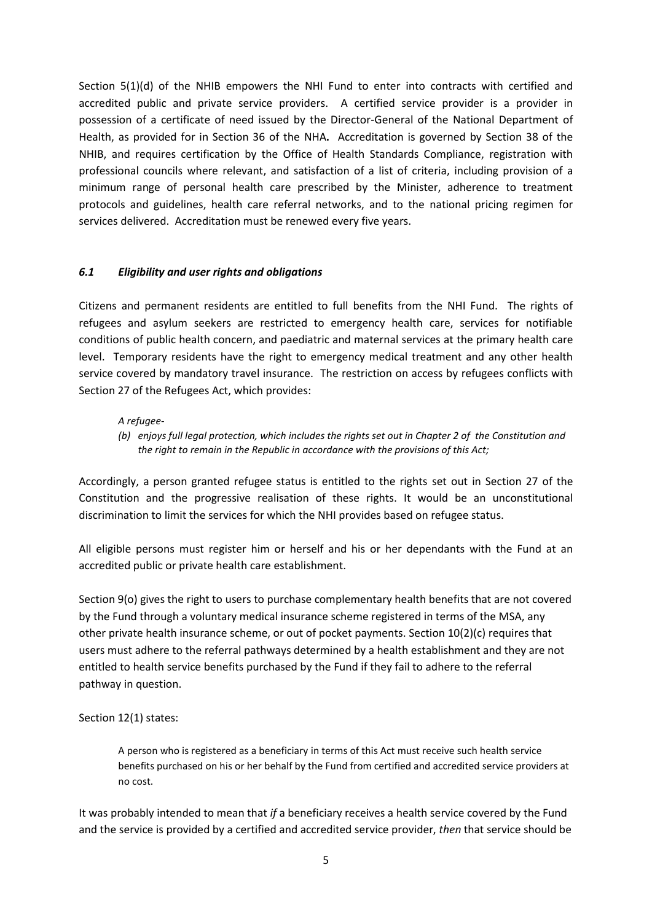Section 5(1)(d) of the NHIB empowers the NHI Fund to enter into contracts with certified and accredited public and private service providers. A certified service provider is a provider in possession of a certificate of need issued by the Director-General of the National Department of Health, as provided for in Section 36 of the NHA**.** Accreditation is governed by Section 38 of the NHIB, and requires certification by the Office of Health Standards Compliance, registration with professional councils where relevant, and satisfaction of a list of criteria, including provision of a minimum range of personal health care prescribed by the Minister, adherence to treatment protocols and guidelines, health care referral networks, and to the national pricing regimen for services delivered. Accreditation must be renewed every five years.

# *6.1 Eligibility and user rights and obligations*

Citizens and permanent residents are entitled to full benefits from the NHI Fund. The rights of refugees and asylum seekers are restricted to emergency health care, services for notifiable conditions of public health concern, and paediatric and maternal services at the primary health care level. Temporary residents have the right to emergency medical treatment and any other health service covered by mandatory travel insurance. The restriction on access by refugees conflicts with Section 27 of the Refugees Act, which provides:

### *A refugee-*

*(b) enjoys full legal protection, which includes the rights set out in Chapter 2 of the Constitution and the right to remain in the Republic in accordance with the provisions of this Act;*

Accordingly, a person granted refugee status is entitled to the rights set out in Section 27 of the Constitution and the progressive realisation of these rights. It would be an unconstitutional discrimination to limit the services for which the NHI provides based on refugee status.

All eligible persons must register him or herself and his or her dependants with the Fund at an accredited public or private health care establishment.

Section 9(o) gives the right to users to purchase complementary health benefits that are not covered by the Fund through a voluntary medical insurance scheme registered in terms of the MSA, any other private health insurance scheme, or out of pocket payments. Section 10(2)(c) requires that users must adhere to the referral pathways determined by a health establishment and they are not entitled to health service benefits purchased by the Fund if they fail to adhere to the referral pathway in question.

### Section 12(1) states:

A person who is registered as a beneficiary in terms of this Act must receive such health service benefits purchased on his or her behalf by the Fund from certified and accredited service providers at no cost.

It was probably intended to mean that *if* a beneficiary receives a health service covered by the Fund and the service is provided by a certified and accredited service provider, *then* that service should be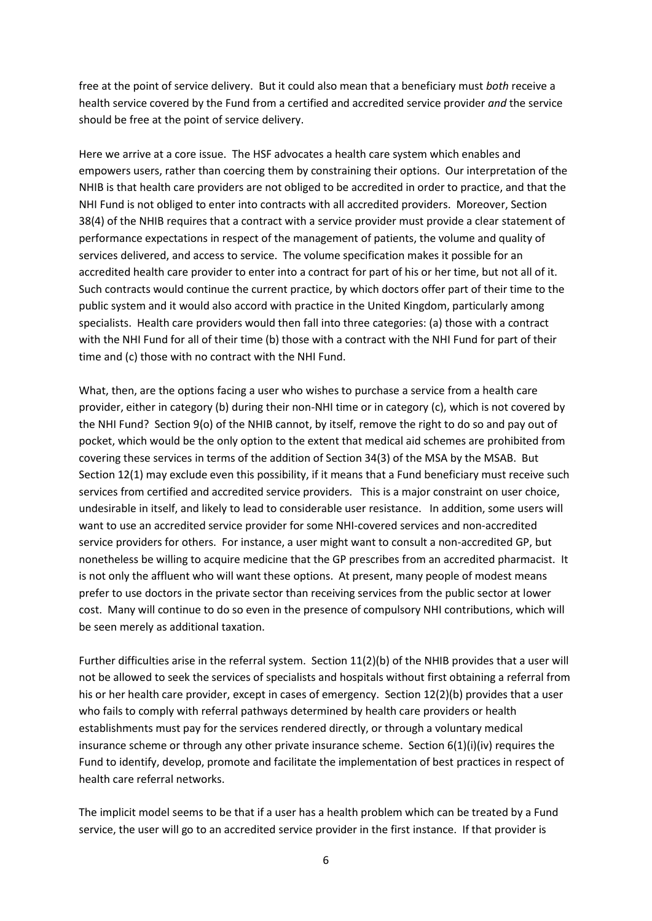free at the point of service delivery. But it could also mean that a beneficiary must *both* receive a health service covered by the Fund from a certified and accredited service provider *and* the service should be free at the point of service delivery.

Here we arrive at a core issue. The HSF advocates a health care system which enables and empowers users, rather than coercing them by constraining their options. Our interpretation of the NHIB is that health care providers are not obliged to be accredited in order to practice, and that the NHI Fund is not obliged to enter into contracts with all accredited providers. Moreover, Section 38(4) of the NHIB requires that a contract with a service provider must provide a clear statement of performance expectations in respect of the management of patients, the volume and quality of services delivered, and access to service. The volume specification makes it possible for an accredited health care provider to enter into a contract for part of his or her time, but not all of it. Such contracts would continue the current practice, by which doctors offer part of their time to the public system and it would also accord with practice in the United Kingdom, particularly among specialists. Health care providers would then fall into three categories: (a) those with a contract with the NHI Fund for all of their time (b) those with a contract with the NHI Fund for part of their time and (c) those with no contract with the NHI Fund.

What, then, are the options facing a user who wishes to purchase a service from a health care provider, either in category (b) during their non-NHI time or in category (c), which is not covered by the NHI Fund? Section 9(o) of the NHIB cannot, by itself, remove the right to do so and pay out of pocket, which would be the only option to the extent that medical aid schemes are prohibited from covering these services in terms of the addition of Section 34(3) of the MSA by the MSAB. But Section 12(1) may exclude even this possibility, if it means that a Fund beneficiary must receive such services from certified and accredited service providers. This is a major constraint on user choice, undesirable in itself, and likely to lead to considerable user resistance. In addition, some users will want to use an accredited service provider for some NHI-covered services and non-accredited service providers for others. For instance, a user might want to consult a non-accredited GP, but nonetheless be willing to acquire medicine that the GP prescribes from an accredited pharmacist. It is not only the affluent who will want these options. At present, many people of modest means prefer to use doctors in the private sector than receiving services from the public sector at lower cost. Many will continue to do so even in the presence of compulsory NHI contributions, which will be seen merely as additional taxation.

Further difficulties arise in the referral system. Section 11(2)(b) of the NHIB provides that a user will not be allowed to seek the services of specialists and hospitals without first obtaining a referral from his or her health care provider, except in cases of emergency. Section 12(2)(b) provides that a user who fails to comply with referral pathways determined by health care providers or health establishments must pay for the services rendered directly, or through a voluntary medical insurance scheme or through any other private insurance scheme. Section  $6(1)(i)(iv)$  requires the Fund to identify, develop, promote and facilitate the implementation of best practices in respect of health care referral networks.

The implicit model seems to be that if a user has a health problem which can be treated by a Fund service, the user will go to an accredited service provider in the first instance. If that provider is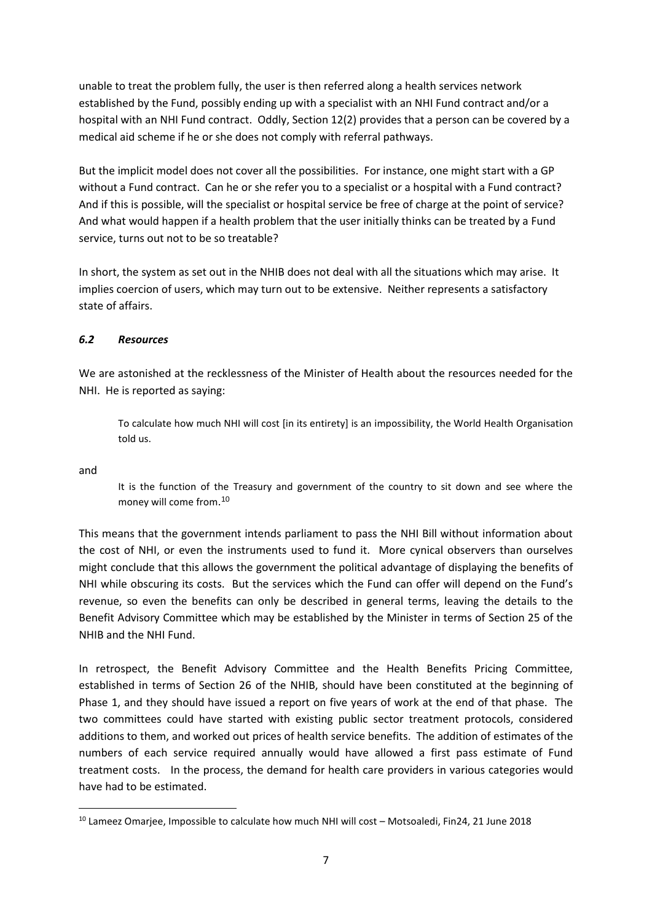unable to treat the problem fully, the user is then referred along a health services network established by the Fund, possibly ending up with a specialist with an NHI Fund contract and/or a hospital with an NHI Fund contract. Oddly, Section 12(2) provides that a person can be covered by a medical aid scheme if he or she does not comply with referral pathways.

But the implicit model does not cover all the possibilities. For instance, one might start with a GP without a Fund contract. Can he or she refer you to a specialist or a hospital with a Fund contract? And if this is possible, will the specialist or hospital service be free of charge at the point of service? And what would happen if a health problem that the user initially thinks can be treated by a Fund service, turns out not to be so treatable?

In short, the system as set out in the NHIB does not deal with all the situations which may arise. It implies coercion of users, which may turn out to be extensive. Neither represents a satisfactory state of affairs.

# *6.2 Resources*

We are astonished at the recklessness of the Minister of Health about the resources needed for the NHI. He is reported as saying:

To calculate how much NHI will cost [in its entirety] is an impossibility, the World Health Organisation told us.

and

1

It is the function of the Treasury and government of the country to sit down and see where the money will come from. 10

This means that the government intends parliament to pass the NHI Bill without information about the cost of NHI, or even the instruments used to fund it. More cynical observers than ourselves might conclude that this allows the government the political advantage of displaying the benefits of NHI while obscuring its costs. But the services which the Fund can offer will depend on the Fund's revenue, so even the benefits can only be described in general terms, leaving the details to the Benefit Advisory Committee which may be established by the Minister in terms of Section 25 of the NHIB and the NHI Fund.

In retrospect, the Benefit Advisory Committee and the Health Benefits Pricing Committee, established in terms of Section 26 of the NHIB, should have been constituted at the beginning of Phase 1, and they should have issued a report on five years of work at the end of that phase. The two committees could have started with existing public sector treatment protocols, considered additions to them, and worked out prices of health service benefits. The addition of estimates of the numbers of each service required annually would have allowed a first pass estimate of Fund treatment costs. In the process, the demand for health care providers in various categories would have had to be estimated.

<sup>&</sup>lt;sup>10</sup> Lameez Omarjee, Impossible to calculate how much NHI will cost - Motsoaledi, Fin24, 21 June 2018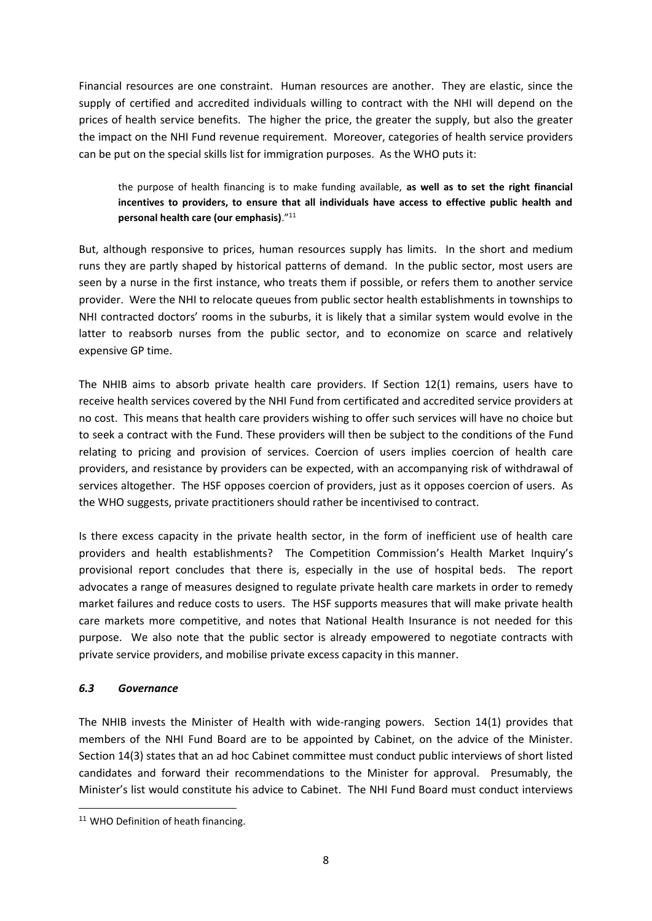Financial resources are one constraint. Human resources are another. They are elastic, since the supply of certified and accredited individuals willing to contract with the NHI will depend on the prices of health service benefits. The higher the price, the greater the supply, but also the greater the impact on the NHI Fund revenue requirement. Moreover, categories of health service providers can be put on the special skills list for immigration purposes. As the WHO puts it:

# the purpose of health financing is to make funding available, **as well as to set the right financial incentives to providers, to ensure that all individuals have access to effective public health and personal health care (our emphasis)**."<sup>11</sup>

But, although responsive to prices, human resources supply has limits. In the short and medium runs they are partly shaped by historical patterns of demand. In the public sector, most users are seen by a nurse in the first instance, who treats them if possible, or refers them to another service provider. Were the NHI to relocate queues from public sector health establishments in townships to NHI contracted doctors' rooms in the suburbs, it is likely that a similar system would evolve in the latter to reabsorb nurses from the public sector, and to economize on scarce and relatively expensive GP time.

The NHIB aims to absorb private health care providers. If Section 12(1) remains, users have to receive health services covered by the NHI Fund from certificated and accredited service providers at no cost. This means that health care providers wishing to offer such services will have no choice but to seek a contract with the Fund. These providers will then be subject to the conditions of the Fund relating to pricing and provision of services. Coercion of users implies coercion of health care providers, and resistance by providers can be expected, with an accompanying risk of withdrawal of services altogether. The HSF opposes coercion of providers, just as it opposes coercion of users. As the WHO suggests, private practitioners should rather be incentivised to contract.

Is there excess capacity in the private health sector, in the form of inefficient use of health care providers and health establishments? The Competition Commission's Health Market Inquiry's provisional report concludes that there is, especially in the use of hospital beds. The report advocates a range of measures designed to regulate private health care markets in order to remedy market failures and reduce costs to users. The HSF supports measures that will make private health care markets more competitive, and notes that National Health Insurance is not needed for this purpose. We also note that the public sector is already empowered to negotiate contracts with private service providers, and mobilise private excess capacity in this manner.

# *6.3 Governance*

1

The NHIB invests the Minister of Health with wide-ranging powers. Section 14(1) provides that members of the NHI Fund Board are to be appointed by Cabinet, on the advice of the Minister. Section 14(3) states that an ad hoc Cabinet committee must conduct public interviews of short listed candidates and forward their recommendations to the Minister for approval. Presumably, the Minister's list would constitute his advice to Cabinet. The NHI Fund Board must conduct interviews

<sup>&</sup>lt;sup>11</sup> WHO Definition of heath financing.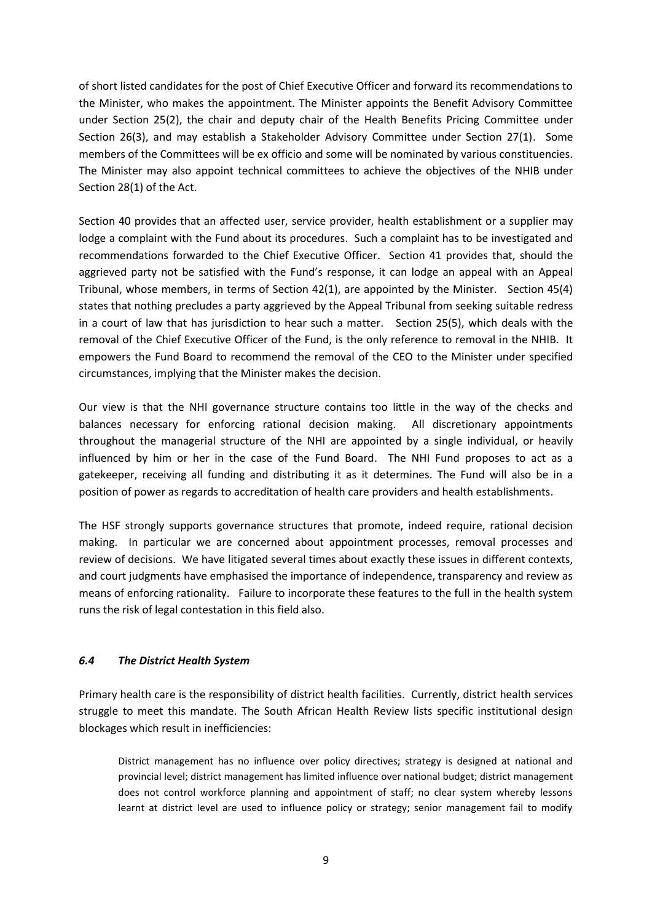of short listed candidates for the post of Chief Executive Officer and forward its recommendations to the Minister, who makes the appointment. The Minister appoints the Benefit Advisory Committee under Section 25(2), the chair and deputy chair of the Health Benefits Pricing Committee under Section 26(3), and may establish a Stakeholder Advisory Committee under Section 27(1). Some members of the Committees will be ex officio and some will be nominated by various constituencies. The Minister may also appoint technical committees to achieve the objectives of the NHIB under Section 28(1) of the Act.

Section 40 provides that an affected user, service provider, health establishment or a supplier may lodge a complaint with the Fund about its procedures. Such a complaint has to be investigated and recommendations forwarded to the Chief Executive Officer. Section 41 provides that, should the aggrieved party not be satisfied with the Fund's response, it can lodge an appeal with an Appeal Tribunal, whose members, in terms of Section 42(1), are appointed by the Minister. Section 45(4) states that nothing precludes a party aggrieved by the Appeal Tribunal from seeking suitable redress in a court of law that has jurisdiction to hear such a matter. Section 25(5), which deals with the removal of the Chief Executive Officer of the Fund, is the only reference to removal in the NHIB. It empowers the Fund Board to recommend the removal of the CEO to the Minister under specified circumstances, implying that the Minister makes the decision.

Our view is that the NHI governance structure contains too little in the way of the checks and balances necessary for enforcing rational decision making. All discretionary appointments throughout the managerial structure of the NHI are appointed by a single individual, or heavily influenced by him or her in the case of the Fund Board. The NHI Fund proposes to act as a gatekeeper, receiving all funding and distributing it as it determines. The Fund will also be in a position of power as regards to accreditation of health care providers and health establishments.

The HSF strongly supports governance structures that promote, indeed require, rational decision making. In particular we are concerned about appointment processes, removal processes and review of decisions. We have litigated several times about exactly these issues in different contexts, and court judgments have emphasised the importance of independence, transparency and review as means of enforcing rationality. Failure to incorporate these features to the full in the health system runs the risk of legal contestation in this field also.

# *6.4 The District Health System*

Primary health care is the responsibility of district health facilities. Currently, district health services struggle to meet this mandate. The South African Health Review lists specific institutional design blockages which result in inefficiencies:

District management has no influence over policy directives; strategy is designed at national and provincial level; district management has limited influence over national budget; district management does not control workforce planning and appointment of staff; no clear system whereby lessons learnt at district level are used to influence policy or strategy; senior management fail to modify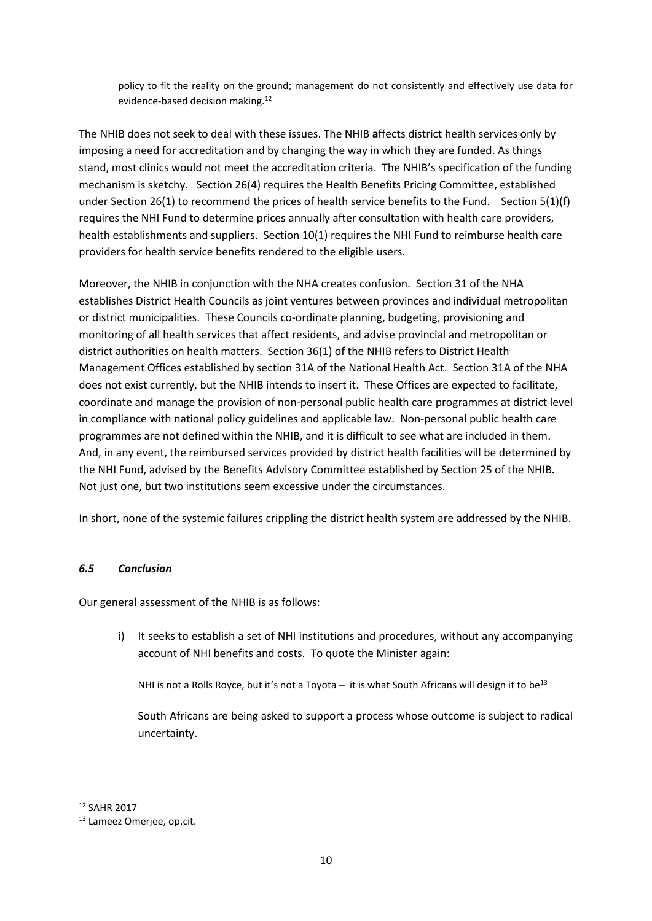policy to fit the reality on the ground; management do not consistently and effectively use data for evidence-based decision making.<sup>12</sup>

The NHIB does not seek to deal with these issues. The NHIB **a**ffects district health services only by imposing a need for accreditation and by changing the way in which they are funded. As things stand, most clinics would not meet the accreditation criteria. The NHIB's specification of the funding mechanism is sketchy. Section 26(4) requires the Health Benefits Pricing Committee, established under Section 26(1) to recommend the prices of health service benefits to the Fund. Section 5(1)(f) requires the NHI Fund to determine prices annually after consultation with health care providers, health establishments and suppliers. Section 10(1) requires the NHI Fund to reimburse health care providers for health service benefits rendered to the eligible users.

Moreover, the NHIB in conjunction with the NHA creates confusion. Section 31 of the NHA establishes District Health Councils as joint ventures between provinces and individual metropolitan or district municipalities. These Councils co-ordinate planning, budgeting, provisioning and monitoring of all health services that affect residents, and advise provincial and metropolitan or district authorities on health matters. Section 36(1) of the NHIB refers to District Health Management Offices established by section 31A of the National Health Act. Section 31A of the NHA does not exist currently, but the NHIB intends to insert it. These Offices are expected to facilitate, coordinate and manage the provision of non-personal public health care programmes at district level in compliance with national policy guidelines and applicable law. Non-personal public health care programmes are not defined within the NHIB, and it is difficult to see what are included in them. And, in any event, the reimbursed services provided by district health facilities will be determined by the NHI Fund, advised by the Benefits Advisory Committee established by Section 25 of the NHIB**.** Not just one, but two institutions seem excessive under the circumstances.

In short, none of the systemic failures crippling the district health system are addressed by the NHIB.

# *6.5 Conclusion*

Our general assessment of the NHIB is as follows:

i) It seeks to establish a set of NHI institutions and procedures, without any accompanying account of NHI benefits and costs. To quote the Minister again:

NHI is not a Rolls Royce, but it's not a Toyota – it is what South Africans will design it to be<sup>13</sup>

South Africans are being asked to support a process whose outcome is subject to radical uncertainty.

 $\overline{\phantom{a}}$ <sup>12</sup> SAHR 2017

<sup>13</sup> Lameez Omerjee, op.cit.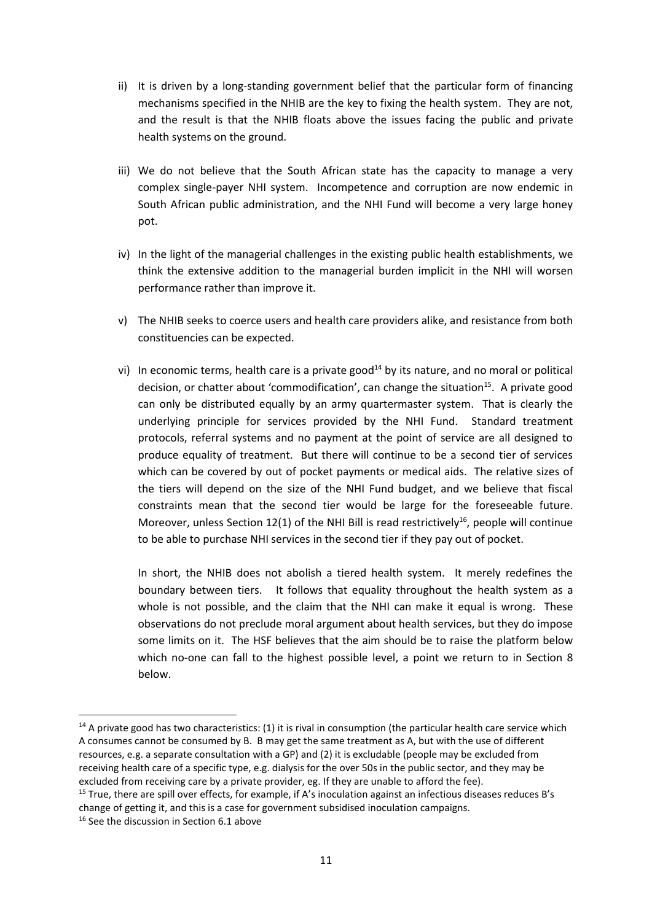- ii) It is driven by a long-standing government belief that the particular form of financing mechanisms specified in the NHIB are the key to fixing the health system. They are not, and the result is that the NHIB floats above the issues facing the public and private health systems on the ground.
- iii) We do not believe that the South African state has the capacity to manage a very complex single-payer NHI system. Incompetence and corruption are now endemic in South African public administration, and the NHI Fund will become a very large honey pot.
- iv) In the light of the managerial challenges in the existing public health establishments, we think the extensive addition to the managerial burden implicit in the NHI will worsen performance rather than improve it.
- v) The NHIB seeks to coerce users and health care providers alike, and resistance from both constituencies can be expected.
- vi) In economic terms, health care is a private good<sup>14</sup> by its nature, and no moral or political decision, or chatter about 'commodification', can change the situation<sup>15</sup>. A private good can only be distributed equally by an army quartermaster system. That is clearly the underlying principle for services provided by the NHI Fund. Standard treatment protocols, referral systems and no payment at the point of service are all designed to produce equality of treatment. But there will continue to be a second tier of services which can be covered by out of pocket payments or medical aids. The relative sizes of the tiers will depend on the size of the NHI Fund budget, and we believe that fiscal constraints mean that the second tier would be large for the foreseeable future. Moreover, unless Section 12(1) of the NHI Bill is read restrictively<sup>16</sup>, people will continue to be able to purchase NHI services in the second tier if they pay out of pocket.

In short, the NHIB does not abolish a tiered health system. It merely redefines the boundary between tiers. It follows that equality throughout the health system as a whole is not possible, and the claim that the NHI can make it equal is wrong. These observations do not preclude moral argument about health services, but they do impose some limits on it. The HSF believes that the aim should be to raise the platform below which no-one can fall to the highest possible level, a point we return to in Section 8 below.

1

 $14$  A private good has two characteristics: (1) it is rival in consumption (the particular health care service which A consumes cannot be consumed by B. B may get the same treatment as A, but with the use of different resources, e.g. a separate consultation with a GP) and (2) it is excludable (people may be excluded from receiving health care of a specific type, e.g. dialysis for the over 50s in the public sector, and they may be excluded from receiving care by a private provider, eg. If they are unable to afford the fee).

<sup>&</sup>lt;sup>15</sup> True, there are spill over effects, for example, if A's inoculation against an infectious diseases reduces B's change of getting it, and this is a case for government subsidised inoculation campaigns.

<sup>&</sup>lt;sup>16</sup> See the discussion in Section 6.1 above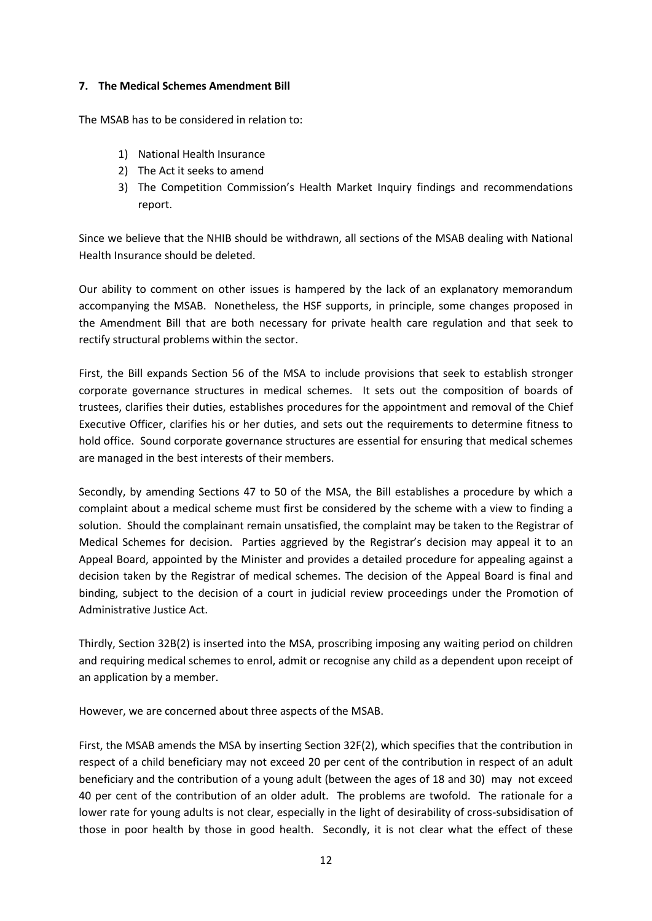# **7. The Medical Schemes Amendment Bill**

The MSAB has to be considered in relation to:

- 1) National Health Insurance
- 2) The Act it seeks to amend
- 3) The Competition Commission's Health Market Inquiry findings and recommendations report.

Since we believe that the NHIB should be withdrawn, all sections of the MSAB dealing with National Health Insurance should be deleted.

Our ability to comment on other issues is hampered by the lack of an explanatory memorandum accompanying the MSAB. Nonetheless, the HSF supports, in principle, some changes proposed in the Amendment Bill that are both necessary for private health care regulation and that seek to rectify structural problems within the sector.

First, the Bill expands Section 56 of the MSA to include provisions that seek to establish stronger corporate governance structures in medical schemes. It sets out the composition of boards of trustees, clarifies their duties, establishes procedures for the appointment and removal of the Chief Executive Officer, clarifies his or her duties, and sets out the requirements to determine fitness to hold office. Sound corporate governance structures are essential for ensuring that medical schemes are managed in the best interests of their members.

Secondly, by amending Sections 47 to 50 of the MSA, the Bill establishes a procedure by which a complaint about a medical scheme must first be considered by the scheme with a view to finding a solution. Should the complainant remain unsatisfied, the complaint may be taken to the Registrar of Medical Schemes for decision. Parties aggrieved by the Registrar's decision may appeal it to an Appeal Board, appointed by the Minister and provides a detailed procedure for appealing against a decision taken by the Registrar of medical schemes. The decision of the Appeal Board is final and binding, subject to the decision of a court in judicial review proceedings under the Promotion of Administrative Justice Act.

Thirdly, Section 32B(2) is inserted into the MSA, proscribing imposing any waiting period on children and requiring medical schemes to enrol, admit or recognise any child as a dependent upon receipt of an application by a member.

However, we are concerned about three aspects of the MSAB.

First, the MSAB amends the MSA by inserting Section 32F(2), which specifies that the contribution in respect of a child beneficiary may not exceed 20 per cent of the contribution in respect of an adult beneficiary and the contribution of a young adult (between the ages of 18 and 30) may not exceed 40 per cent of the contribution of an older adult. The problems are twofold. The rationale for a lower rate for young adults is not clear, especially in the light of desirability of cross-subsidisation of those in poor health by those in good health. Secondly, it is not clear what the effect of these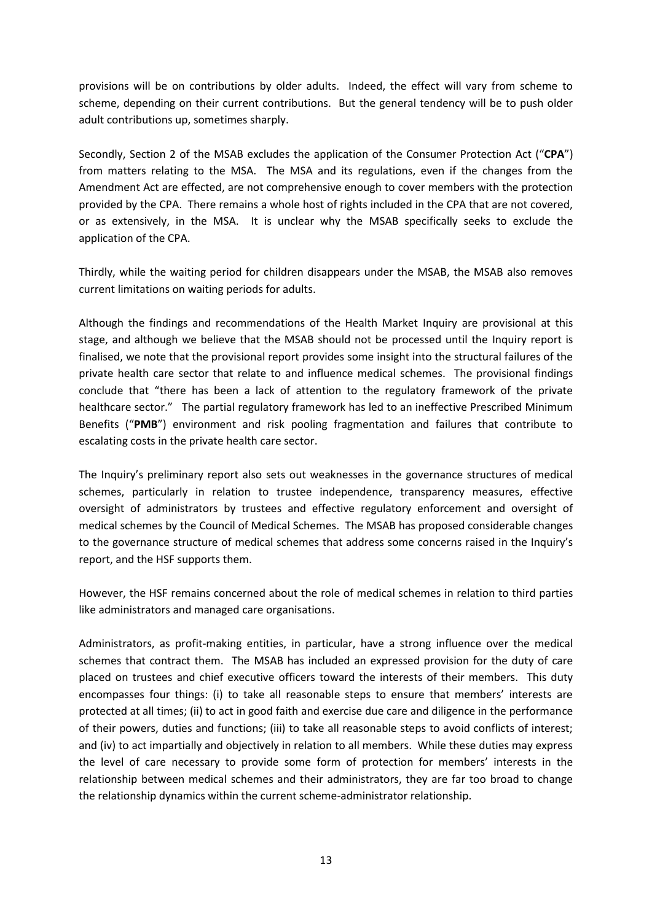provisions will be on contributions by older adults. Indeed, the effect will vary from scheme to scheme, depending on their current contributions. But the general tendency will be to push older adult contributions up, sometimes sharply.

Secondly, Section 2 of the MSAB excludes the application of the Consumer Protection Act ("**CPA**") from matters relating to the MSA. The MSA and its regulations, even if the changes from the Amendment Act are effected, are not comprehensive enough to cover members with the protection provided by the CPA. There remains a whole host of rights included in the CPA that are not covered, or as extensively, in the MSA. It is unclear why the MSAB specifically seeks to exclude the application of the CPA.

Thirdly, while the waiting period for children disappears under the MSAB, the MSAB also removes current limitations on waiting periods for adults.

Although the findings and recommendations of the Health Market Inquiry are provisional at this stage, and although we believe that the MSAB should not be processed until the Inquiry report is finalised, we note that the provisional report provides some insight into the structural failures of the private health care sector that relate to and influence medical schemes. The provisional findings conclude that "there has been a lack of attention to the regulatory framework of the private healthcare sector." The partial regulatory framework has led to an ineffective Prescribed Minimum Benefits ("**PMB**") environment and risk pooling fragmentation and failures that contribute to escalating costs in the private health care sector.

The Inquiry's preliminary report also sets out weaknesses in the governance structures of medical schemes, particularly in relation to trustee independence, transparency measures, effective oversight of administrators by trustees and effective regulatory enforcement and oversight of medical schemes by the Council of Medical Schemes. The MSAB has proposed considerable changes to the governance structure of medical schemes that address some concerns raised in the Inquiry's report, and the HSF supports them.

However, the HSF remains concerned about the role of medical schemes in relation to third parties like administrators and managed care organisations.

Administrators, as profit-making entities, in particular, have a strong influence over the medical schemes that contract them. The MSAB has included an expressed provision for the duty of care placed on trustees and chief executive officers toward the interests of their members. This duty encompasses four things: (i) to take all reasonable steps to ensure that members' interests are protected at all times; (ii) to act in good faith and exercise due care and diligence in the performance of their powers, duties and functions; (iii) to take all reasonable steps to avoid conflicts of interest; and (iv) to act impartially and objectively in relation to all members. While these duties may express the level of care necessary to provide some form of protection for members' interests in the relationship between medical schemes and their administrators, they are far too broad to change the relationship dynamics within the current scheme-administrator relationship.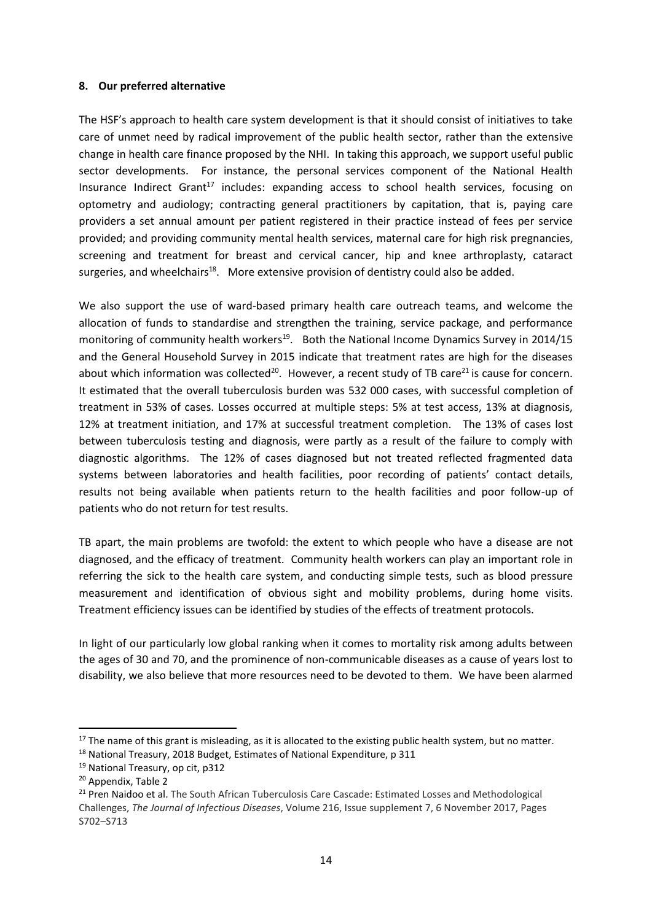### **8. Our preferred alternative**

The HSF's approach to health care system development is that it should consist of initiatives to take care of unmet need by radical improvement of the public health sector, rather than the extensive change in health care finance proposed by the NHI. In taking this approach, we support useful public sector developments. For instance, the personal services component of the National Health Insurance Indirect Grant<sup>17</sup> includes: expanding access to school health services, focusing on optometry and audiology; contracting general practitioners by capitation, that is, paying care providers a set annual amount per patient registered in their practice instead of fees per service provided; and providing community mental health services, maternal care for high risk pregnancies, screening and treatment for breast and cervical cancer, hip and knee arthroplasty, cataract surgeries, and wheelchairs<sup>18</sup>. More extensive provision of dentistry could also be added.

We also support the use of ward-based primary health care outreach teams, and welcome the allocation of funds to standardise and strengthen the training, service package, and performance monitoring of community health workers<sup>19</sup>. Both the National Income Dynamics Survey in 2014/15 and the General Household Survey in 2015 indicate that treatment rates are high for the diseases about which information was collected<sup>20</sup>. However, a recent study of TB care<sup>21</sup> is cause for concern. It estimated that the overall tuberculosis burden was 532 000 cases, with successful completion of treatment in 53% of cases. Losses occurred at multiple steps: 5% at test access, 13% at diagnosis, 12% at treatment initiation, and 17% at successful treatment completion. The 13% of cases lost between tuberculosis testing and diagnosis, were partly as a result of the failure to comply with diagnostic algorithms. The 12% of cases diagnosed but not treated reflected fragmented data systems between laboratories and health facilities, poor recording of patients' contact details, results not being available when patients return to the health facilities and poor follow-up of patients who do not return for test results.

TB apart, the main problems are twofold: the extent to which people who have a disease are not diagnosed, and the efficacy of treatment. Community health workers can play an important role in referring the sick to the health care system, and conducting simple tests, such as blood pressure measurement and identification of obvious sight and mobility problems, during home visits. Treatment efficiency issues can be identified by studies of the effects of treatment protocols.

In light of our particularly low global ranking when it comes to mortality risk among adults between the ages of 30 and 70, and the prominence of non-communicable diseases as a cause of years lost to disability, we also believe that more resources need to be devoted to them. We have been alarmed

**.** 

 $17$  The name of this grant is misleading, as it is allocated to the existing public health system, but no matter.

<sup>&</sup>lt;sup>18</sup> National Treasury, 2018 Budget, Estimates of National Expenditure, p 311

<sup>19</sup> National Treasury, op cit, p312

<sup>20</sup> Appendix, Table 2

<sup>&</sup>lt;sup>21</sup> Pren Naidoo et al. The South African Tuberculosis Care Cascade: Estimated Losses and Methodological Challenges, *The Journal of Infectious Diseases*, Volume 216, Issue supplement 7, 6 November 2017, Pages S702–S713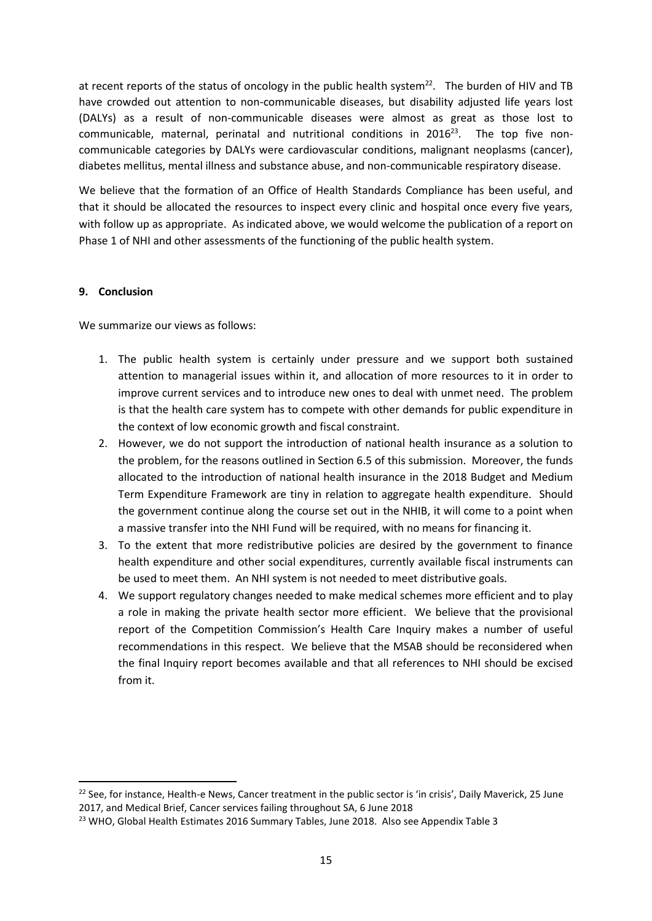at recent reports of the status of oncology in the public health system<sup>22</sup>. The burden of HIV and TB have crowded out attention to non-communicable diseases, but disability adjusted life years lost (DALYs) as a result of non-communicable diseases were almost as great as those lost to  $commonized$ , maternal, perinatal and nutritional conditions in  $2016^{23}$ . The top five noncommunicable categories by DALYs were cardiovascular conditions, malignant neoplasms (cancer), diabetes mellitus, mental illness and substance abuse, and non-communicable respiratory disease.

We believe that the formation of an Office of Health Standards Compliance has been useful, and that it should be allocated the resources to inspect every clinic and hospital once every five years, with follow up as appropriate. As indicated above, we would welcome the publication of a report on Phase 1 of NHI and other assessments of the functioning of the public health system.

# **9. Conclusion**

1

We summarize our views as follows:

- 1. The public health system is certainly under pressure and we support both sustained attention to managerial issues within it, and allocation of more resources to it in order to improve current services and to introduce new ones to deal with unmet need. The problem is that the health care system has to compete with other demands for public expenditure in the context of low economic growth and fiscal constraint.
- 2. However, we do not support the introduction of national health insurance as a solution to the problem, for the reasons outlined in Section 6.5 of this submission. Moreover, the funds allocated to the introduction of national health insurance in the 2018 Budget and Medium Term Expenditure Framework are tiny in relation to aggregate health expenditure. Should the government continue along the course set out in the NHIB, it will come to a point when a massive transfer into the NHI Fund will be required, with no means for financing it.
- 3. To the extent that more redistributive policies are desired by the government to finance health expenditure and other social expenditures, currently available fiscal instruments can be used to meet them. An NHI system is not needed to meet distributive goals.
- 4. We support regulatory changes needed to make medical schemes more efficient and to play a role in making the private health sector more efficient. We believe that the provisional report of the Competition Commission's Health Care Inquiry makes a number of useful recommendations in this respect. We believe that the MSAB should be reconsidered when the final Inquiry report becomes available and that all references to NHI should be excised from it.

<sup>&</sup>lt;sup>22</sup> See, for instance, Health-e News, Cancer treatment in the public sector is 'in crisis', Daily Maverick, 25 June 2017, and Medical Brief, Cancer services failing throughout SA, 6 June 2018

<sup>&</sup>lt;sup>23</sup> WHO, Global Health Estimates 2016 Summary Tables, June 2018. Also see Appendix Table 3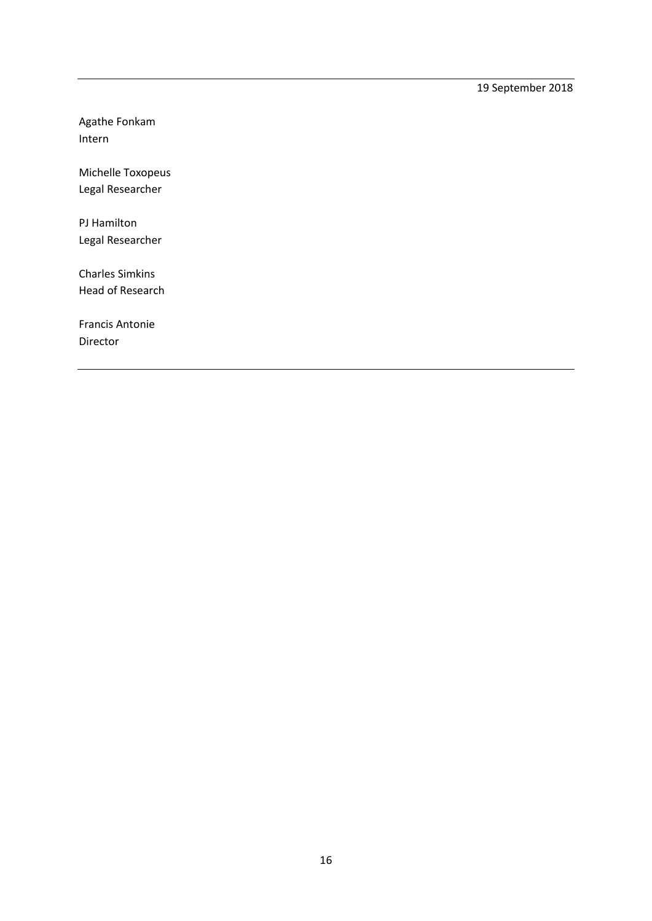19 September 2018

Agathe Fonkam Intern

Michelle Toxopeus Legal Researcher

PJ Hamilton Legal Researcher

Charles Simkins Head of Research

Francis Antonie Director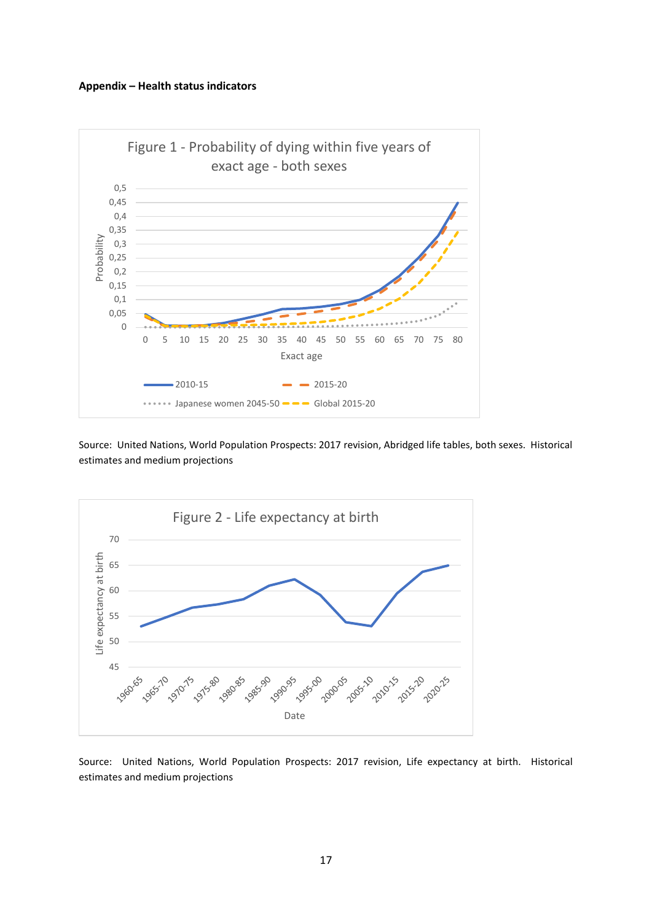#### **Appendix – Health status indicators**



Source: United Nations, World Population Prospects: 2017 revision, Abridged life tables, both sexes. Historical estimates and medium projections



Source: United Nations, World Population Prospects: 2017 revision, Life expectancy at birth. Historical estimates and medium projections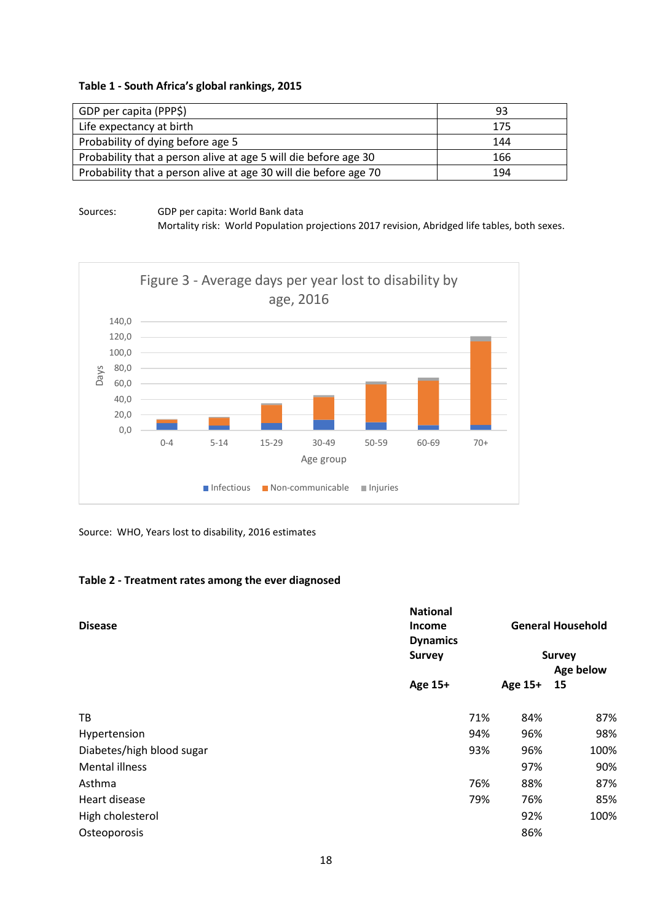#### **Table 1 - South Africa's global rankings, 2015**

| GDP per capita (PPP\$)                                           | 93  |
|------------------------------------------------------------------|-----|
| Life expectancy at birth                                         | 175 |
| Probability of dying before age 5                                | 144 |
| Probability that a person alive at age 5 will die before age 30  | 166 |
| Probability that a person alive at age 30 will die before age 70 | 194 |

### Sources: GDP per capita: World Bank data

Mortality risk: World Population projections 2017 revision, Abridged life tables, both sexes.



Source: WHO, Years lost to disability, 2016 estimates

### **Table 2 - Treatment rates among the ever diagnosed**

| <b>Survey</b><br><b>Survey</b><br>Age below<br>Age 15+<br>Age 15+<br>15<br>TB<br>71%<br>84%<br>94%<br>96%<br>Hypertension<br>Diabetes/high blood sugar<br>93%<br>96%<br>100% | <b>General Household</b> |  |
|------------------------------------------------------------------------------------------------------------------------------------------------------------------------------|--------------------------|--|
|                                                                                                                                                                              |                          |  |
|                                                                                                                                                                              |                          |  |
|                                                                                                                                                                              |                          |  |
|                                                                                                                                                                              | 87%                      |  |
|                                                                                                                                                                              | 98%                      |  |
|                                                                                                                                                                              |                          |  |
| <b>Mental illness</b><br>97%                                                                                                                                                 | 90%                      |  |
| 88%<br>Asthma<br>76%                                                                                                                                                         | 87%                      |  |
| Heart disease<br>79%<br>76%                                                                                                                                                  | 85%                      |  |
| 92%<br>100%<br>High cholesterol                                                                                                                                              |                          |  |
| 86%<br>Osteoporosis                                                                                                                                                          |                          |  |